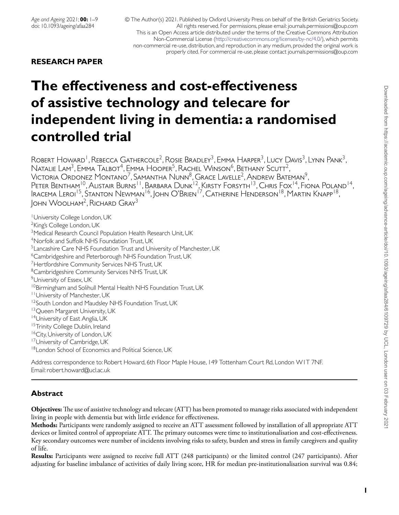# **RESEARCH PAPER**

# **The effectiveness and cost-effectiveness of assistive technology and telecare for independent living in dementia: a randomised controlled trial**

ROBERT HOWARD<sup>1</sup>, REBECCA GATHERCOLE<sup>2</sup>, ROSIE BRADLEY<sup>3</sup>, EMMA HARPER<sup>3</sup>, Lucy Davis<sup>3</sup>, Lynn Pank<sup>3</sup>, NATALIE LAM<sup>3</sup>, EMMA TALBOT<sup>4</sup>, EMMA HOOPER<sup>5</sup>, RACHEL WINSON<sup>6</sup>, BETHANY SCUTT<sup>2</sup>, Victoria Ordonez Montano<sup>7</sup>, Samantha Nunn<sup>8</sup>, Grace Lavelle<sup>2</sup>, Andrew Bateman<sup>9</sup>, PETER BENTHAM<sup>10</sup>, Alistair Burns<sup>11</sup>, Barbara Dunk<sup>12</sup>, Kirsty Forsyth<sup>13</sup>, Chris Fox<sup>14</sup>, Fiona Poland<sup>14</sup>, Iracema Leroi<sup>15</sup>, Stanton Newman<sup>16</sup>, John O'Brien<sup>17</sup>, Catherine Henderson<sup>18</sup>, Martin Knapp<sup>18</sup>, John Woolham2, Richard Gray3

1University College London, UK <sup>2</sup>King's College London, UK <sup>3</sup> Medical Research Council Population Health Research Unit, UK 4Norfolk and Suffolk NHS Foundation Trust, UK 5Lancashire Care NHS Foundation Trust and University of Manchester, UK 6Cambridgeshire and Peterborough NHS Foundation Trust, UK <sup>7</sup>Hertfordshire Community Services NHS Trust, UK <sup>8</sup>Cambridgeshire Community Services NHS Trust, UK <sup>9</sup>University of Essex, UK 10Birmingham and Solihull Mental Health NHS Foundation Trust, UK 11University of Manchester, UK <sup>12</sup>South London and Maudsley NHS Foundation Trust, UK <sup>13</sup> Queen Margaret University, UK 14 University of East Anglia, UK <sup>15</sup>Trinity College Dublin, Ireland <sup>16</sup>City, University of London, UK <sup>17</sup>University of Cambridge, UK <sup>18</sup>London School of Economics and Political Science, UK

Address correspondence to: Robert Howard, 6th Floor Maple House, 149 Tottenham Court Rd, London W1T 7NF. Email: robert.howard@ucl.ac.uk

# **Abstract**

**Objectives:**The use of assistive technology and telecare (ATT) has been promoted to manage risks associated with independent living in people with dementia but with little evidence for effectiveness.

**Methods:** Participants were randomly assigned to receive an ATT assessment followed by installation of all appropriate ATT devices or limited control of appropriate ATT. The primary outcomes were time to institutionalisation and cost-effectiveness. Key secondary outcomes were number of incidents involving risks to safety, burden and stress in family caregivers and quality of life.

**Results:** Participants were assigned to receive full ATT (248 participants) or the limited control (247 participants). After adjusting for baseline imbalance of activities of daily living score, HR for median pre-institutionalisation survival was 0.84;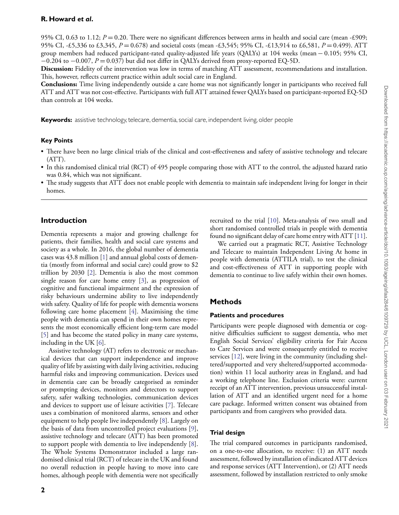## **R. Howard** *et al***.**

95% CI, 0.63 to 1.12;  $P = 0.20$ . There were no significant differences between arms in health and social care (mean -£909; 95% CI, -£5,336 to £3,345, *P* = 0.678) and societal costs (mean -£3,545; 95% CI, -£13,914 to £6,581, *P* = 0.499). ATT group members had reduced participant-rated quality-adjusted life years (QALYs) at 104 weeks (mean − 0.105; 95% CI,  $-0.204$  to  $-0.007$ ,  $P = 0.037$ ) but did not differ in QALYs derived from proxy-reported EQ-5D.

**Discussion:** Fidelity of the intervention was low in terms of matching ATT assessment, recommendations and installation. This, however, reflects current practice within adult social care in England.

**Conclusions:** Time living independently outside a care home was not significantly longer in participants who received full ATT and ATT was not cost-effective. Participants with full ATT attained fewer QALYs based on participant-reported EQ-5D than controls at 104 weeks.

**Keywords:** assistive technology, telecare, dementia, social care, independent living, older people

#### **Key Points**

- There have been no large clinical trials of the clinical and cost-effectiveness and safety of assistive technology and telecare (ATT).
- In this randomised clinical trial (RCT) of 495 people comparing those with ATT to the control, the adjusted hazard ratio was 0.84, which was not significant.
- The study suggests that ATT does not enable people with dementia to maintain safe independent living for longer in their homes.

#### **Introduction**

Dementia represents a major and growing challenge for patients, their families, health and social care systems and society as a whole. In 2016, the global number of dementia cases was 43.8 million [\[1\]](#page-7-0) and annual global costs of dementia (mostly from informal and social care) could grow to \$2 trillion by 2030 [\[2\]](#page-7-1). Dementia is also the most common single reason for care home entry [\[3\]](#page-7-2), as progression of cognitive and functional impairment and the expression of risky behaviours undermine ability to live independently with safety. Quality of life for people with dementia worsens following care home placement [\[4\]](#page-7-3). Maximising the time people with dementia can spend in their own homes represents the most economically efficient long-term care model [\[5\]](#page-7-4) and has become the stated policy in many care systems, including in the UK [\[6\]](#page-7-5).

Assistive technology (AT) refers to electronic or mechanical devices that can support independence and improve quality of life by assisting with daily living activities, reducing harmful risks and improving communication. Devices used in dementia care can be broadly categorised as reminder or prompting devices, monitors and detectors to support safety, safer walking technologies, communication devices and devices to support use of leisure activities [\[7\]](#page-7-6). Telecare uses a combination of monitored alarms, sensors and other equipment to help people live independently [\[8\]](#page-7-7). Largely on the basis of data from uncontrolled project evaluations [\[9\]](#page-7-8), assistive technology and telecare (ATT) has been promoted to support people with dementia to live independently [\[8\]](#page-7-7). The Whole Systems Demonstrator included a large randomised clinical trial (RCT) of telecare in the UK and found no overall reduction in people having to move into care homes, although people with dementia were not specifically recruited to the trial [\[10\]](#page-7-9). Meta-analysis of two small and short randomised controlled trials in people with dementia found no significant delay of care home entry with ATT [\[11\]](#page-7-10).

We carried out a pragmatic RCT, Assistive Technology and Telecare to maintain Independent Living At home in people with dementia (ATTILA trial), to test the clinical and cost-effectiveness of ATT in supporting people with dementia to continue to live safely within their own homes.

#### **Methods**

#### **Patients and procedures**

Participants were people diagnosed with dementia or cognitive difficulties sufficient to suggest dementia, who met English Social Services' eligibility criteria for Fair Access to Care Services and were consequently entitled to receive services [\[12\]](#page-7-11), were living in the community (including sheltered/supported and very sheltered/supported accommodation) within 11 local authority areas in England, and had a working telephone line. Exclusion criteria were: current receipt of an ATT intervention, previous unsuccessful installation of ATT and an identified urgent need for a home care package. Informed written consent was obtained from participants and from caregivers who provided data.

#### **Trial design**

The trial compared outcomes in participants randomised, on a one-to-one allocation, to receive: (1) an ATT needs assessment, followed by installation of indicated ATT devices and response services (ATT Intervention), or (2) ATT needs assessment, followed by installation restricted to only smoke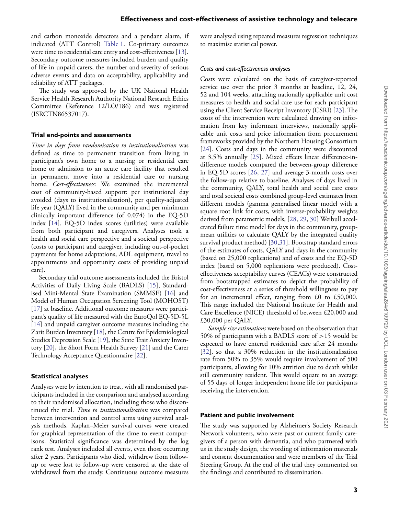and carbon monoxide detectors and a pendant alarm, if indicated (ATT Control) [Table 1.](#page-3-0) Co-primary outcomes were time to residential care entry and cost-effectiveness [\[13\]](#page-7-12). Secondary outcome measures included burden and quality of life in unpaid carers, the number and severity of serious adverse events and data on acceptability, applicability and reliability of ATT packages.

The study was approved by the UK National Health Service Health Research Authority National Research Ethics Committee (Reference 12/LO/186) and was registered (ISRCTN86537017).

#### **Trial end-points and assessments**

*Time in days from randomisation to institutionalisation* was defined as time to permanent transition from living in participant's own home to a nursing or residential care home or admission to an acute care facility that resulted in permanent move into a residential care or nursing home. *Cost-effectiveness:* We examined the incremental cost of community-based support: per institutional day avoided (days to institutionalisation), per quality-adjusted life year (QALY) lived in the community and per minimum clinically important difference (of 0.074) in the EQ-5D index [\[14\]](#page-7-13). EQ-5D index scores (utilities) were available from both participant and caregivers. Analyses took a health and social care perspective and a societal perspective (costs to participant and caregiver, including out-of-pocket payments for home adaptations, ADL equipment, travel to appointments and opportunity costs of providing unpaid care).

Secondary trial outcome assessments included the Bristol Activities of Daily Living Scale (BADLS) [\[15\]](#page-7-14), Standardised Mini-Mental State Examination (SMMSE) [\[16\]](#page-7-15) and Model of Human Occupation Screening Tool (MOHOST) [\[17\]](#page-7-16) at baseline. Additional outcome measures were participant's quality of life measured with the EuroQol EQ-5D-5L [\[14\]](#page-7-13) and unpaid caregiver outcome measures including the Zarit Burden Inventory [\[18\]](#page-7-17), the Centre for Epidemiological Studies Depression Scale [\[19\]](#page-7-18), the State Trait Anxiety Inventory [\[20\]](#page-7-19), the Short Form Health Survey [\[21\]](#page-7-20) and the Carer Technology Acceptance Questionnaire [\[22\]](#page-8-0).

#### **Statistical analyses**

Analyses were by intention to treat, with all randomised participants included in the comparison and analysed according to their randomised allocation, including those who discontinued the trial. *Time to institutionalisation* was compared between intervention and control arms using survival analysis methods. Kaplan–Meier survival curves were created for graphical representation of the time to event comparisons. Statistical significance was determined by the log rank test. Analyses included all events, even those occurring after 2 years. Participants who died, withdrew from followup or were lost to follow-up were censored at the date of withdrawal from the study. Continuous outcome measures

were analysed using repeated measures regression techniques to maximise statistical power.

#### *Costs and cost-effectiveness analyses*

Costs were calculated on the basis of caregiver-reported service use over the prior 3 months at baseline, 12, 24, 52 and 104 weeks, attaching nationally applicable unit cost measures to health and social care use for each participant using the Client Service Receipt Inventory (CSRI) [\[23\]](#page-8-1). The costs of the intervention were calculated drawing on information from key informant interviews, nationally applicable unit costs and price information from procurement frameworks provided by the Northern Housing Consortium [\[24\]](#page-8-2). Costs and days in the community were discounted at 3.5% annually [\[25\]](#page-8-3). Mixed effects linear difference-indifference models compared the between-group difference in EQ-5D scores [\[26,](#page-8-4) [27\]](#page-8-5) and average 3-month costs over the follow-up relative to baseline. Analyses of days lived in the community, QALY, total health and social care costs and total societal costs combined group-level estimates from different models (gamma generalised linear model with a square root link for costs, with inverse-probability weights derived from parametric models, [\[28,](#page-8-6) [29,](#page-8-7) [30\]](#page-8-8) Weibull accelerated failure time model for days in the community, groupmean utilities to calculate QALY by the integrated quality survival product method) [\[30](#page-8-8)[,31\]](#page-8-9). Bootstrap standard errors of the estimates of costs, QALY and days in the community (based on 25,000 replications) and of costs and the EQ-5D index (based on 5,000 replications were produced). Costeffectiveness acceptability curves (CEACs) were constructed from bootstrapped estimates to depict the probability of cost-effectiveness at a series of threshold willingness to pay for an incremental effect, ranging from £0 to £50,000. This range included the National Institute for Health and Care Excellence (NICE) threshold of between £20,000 and £30,000 per QALY.

*Sample size estimations* were based on the observation that 50% of participants with a BADLS score of *>*15 would be expected to have entered residential care after 24 months [\[32\]](#page-8-10), so that a 30% reduction in the institutionalisation rate from 50% to 35% would require involvement of 500 participants, allowing for 10% attrition due to death whilst still community resident. This would equate to an average of 55 days of longer independent home life for participants receiving the intervention.

#### **Patient and public involvement**

The study was supported by Alzheimer's Society Research Network volunteers, who were past or current family caregivers of a person with dementia, and who partnered with us in the study design, the wording of information materials and consent documentation and were members of the Trial Steering Group. At the end of the trial they commented on the findings and contributed to dissemination.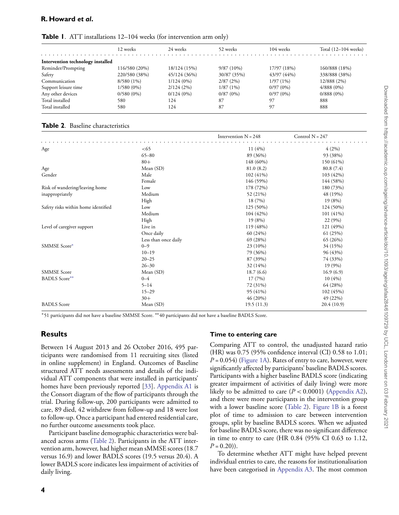## **R. Howard** *et al***.**

<span id="page-3-0"></span>

|  |  |  | <b>Table 1.</b> ATT installations 12-104 weeks (for intervention arm only) |  |
|--|--|--|----------------------------------------------------------------------------|--|
|--|--|--|----------------------------------------------------------------------------|--|

|                                   | 12 weeks      | 24 weeks     | 52 weeks     | 104 weeks   | Total (12–104 weeks) |
|-----------------------------------|---------------|--------------|--------------|-------------|----------------------|
| Intervention technology installed |               |              |              |             |                      |
| Reminder/Prompting                | 116/580 (20%) | 18/124 (15%) | $9/87(10\%)$ | 17/97 (18%) | 160/888 (18%)        |
| Safety                            | 220/580 (38%) | 45/124 (36%) | 30/87 (35%)  | 43/97 (44%) | 338/888 (38%)        |
| Communication                     | $8/580(1\%)$  | $1/124(0\%)$ | 2/87(2%)     | 1/97(1%)    | 12/888 (2%)          |
| Support leisure time              | $1/580(0\%)$  | 2/124(2%)    | 1/87(1%)     | $0/97(0\%)$ | $4/888(0\%)$         |
| Any other devices                 | $0/580(0\%)$  | $0/124(0\%)$ | $0/87(0\%)$  | $0/97(0\%)$ | $0/888(0\%)$         |
| Total installed                   | 580           | 124          | 87           | 97          | 888                  |
| Total installed                   | 580           | 124          | 87           | 97          | 888                  |

#### <span id="page-3-1"></span>**Table 2**. Baseline characteristics

|                                     |                      | Intervention $N = 248$ | Control $N = 247$ |
|-------------------------------------|----------------------|------------------------|-------------------|
| Age                                 | <65                  | 11(4%)                 | 4(2%)             |
|                                     | $65 - 80$            | 89 (36%)               | 93 (38%)          |
|                                     | $80+$                | 148 (60%)              | 150 (61%)         |
| Age                                 | Mean (SD)            | 81.0(8.2)              | 80.8 (7.4)        |
| Gender                              | Male                 | $102(41\%)$            | 103 (42%)         |
|                                     | Female               | 146 (59%)              | 144 (58%)         |
| Risk of wandering/leaving home      | Low                  | 178 (72%)              | 180 (73%)         |
| inappropriately                     | Medium               | 52 (21%)               | 48 (19%)          |
|                                     | High                 | 18 (7%)                | 19(8%)            |
| Safety risks within home identified | Low                  | 125 (50%)              | 124 (50%)         |
|                                     | Medium               | 104 (42%)              | 101(41%)          |
|                                     | High                 | 19(8%)                 | 22 (9%)           |
| Level of caregiver support          | Live in              | 119 (48%)              | 121 (49%)         |
|                                     | Once daily           | 60 (24%)               | 61 (25%)          |
|                                     | Less than once daily | 69 (28%)               | 65 (26%)          |
| SMMSE Score*                        | $0 - 9$              | 23 (10%)               | 34 (15%)          |
|                                     | $10 - 19$            | 79 (36%)               | 96 (43%)          |
|                                     | $20 - 25$            | 87 (39%)               | 74 (33%)          |
|                                     | $26 - 30$            | 32 (14%)               | 19 (9%)           |
| <b>SMMSE</b> Score                  | Mean (SD)            | 18.7(6.6)              | 16.9(6.9)         |
| <b>BADLS</b> Score**                | $0 - 4$              | 17(7%)                 | 10(4%)            |
|                                     | $5 - 14$             | 72 (31%)               | 64 (28%)          |
|                                     | $15 - 29$            | 95 (41%)               | 102 (45%)         |
|                                     | $30+$                | 46 (20%)               | 49 (22%)          |
| <b>BADLS</b> Score                  | Mean (SD)            | 19.5(11.3)             | 20.4(10.9)        |

∗51 participants did not have a baseline SMMSE Score. ∗∗40 participants did not have a baseline BADLS Score.

## **Results**

Between 14 August 2013 and 26 October 2016, 495 participants were randomised from 11 recruiting sites (listed in online supplement) in England. Outcomes of Baseline structured ATT needs assessments and details of the individual ATT components that were installed in participants' homes have been previously reported [\[33\]](#page-8-11). [Appendix A1](https://academic.oup.com/ageing/article-lookup/doi/10.1093/ageing/afaa284#supplementary-data) is the Consort diagram of the flow of participants through the trial. During follow-up, 200 participants were admitted to care, 89 died, 42 withdrew from follow-up and 18 were lost to follow-up. Once a participant had entered residential care, no further outcome assessments took place.

Participant baseline demographic characteristics were balanced across arms [\(Table 2\)](#page-3-1). Participants in the ATT intervention arm, however, had higher mean sMMSE scores (18.7 versus 16.9) and lower BADLS scores (19.5 versus 20.4). A lower BADLS score indicates less impairment of activities of daily living.

#### **Time to entering care**

Comparing ATT to control, the unadjusted hazard ratio (HR) was 0.75 (95% confidence interval (CI) 0.58 to 1.01;  $P = 0.054$ ) [\(Figure 1A\)](#page-4-0). Rates of entry to care, however, were significantly affected by participants' baseline BADLS scores. Participants with a higher baseline BADLS score (indicating greater impairment of activities of daily living) were more likely to be admitted to care  $(P < 0.0001)$  [\(Appendix A2\)](https://academic.oup.com/ageing/article-lookup/doi/10.1093/ageing/afaa284#supplementary-data), and there were more participants in the intervention group with a lower baseline score [\(Table 2\)](#page-3-1). [Figure 1B](#page-4-0) is a forest plot of time to admission to care between intervention groups, split by baseline BADLS scores. When we adjusted for baseline BADLS score, there was no significant difference in time to entry to care (HR 0.84 (95% CI 0.63 to 1.12,  $P = 0.20$ ).

To determine whether ATT might have helped prevent individual entries to care, the reasons for institutionalisation have been categorised in [Appendix A3.](https://academic.oup.com/ageing/article-lookup/doi/10.1093/ageing/afaa284#supplementary-data) The most common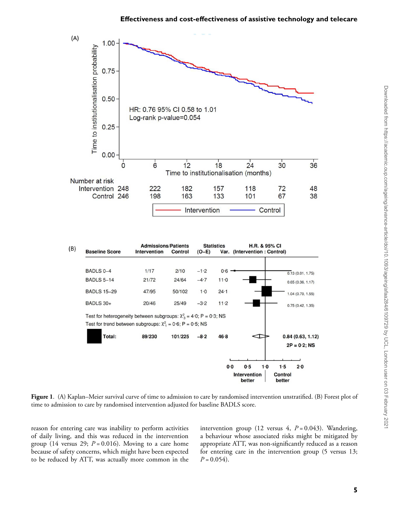



<span id="page-4-0"></span>**Figure 1**. (A) Kaplan–Meier survival curve of time to admission to care by randomised intervention unstratified. (B) Forest plot of time to admission to care by randomised intervention adjusted for baseline BADLS score.

reason for entering care was inability to perform activities of daily living, and this was reduced in the intervention group (14 versus 29;  $P = 0.016$ ). Moving to a care home because of safety concerns, which might have been expected to be reduced by ATT, was actually more common in the intervention group (12 versus 4,  $P = 0.043$ ). Wandering, a behaviour whose associated risks might be mitigated by appropriate ATT, was non-significantly reduced as a reason for entering care in the intervention group (5 versus 13;  $P = 0.054$ .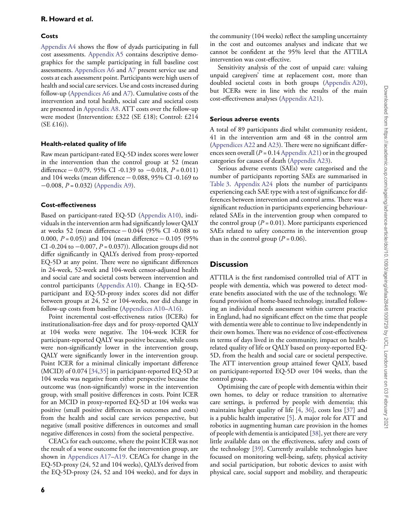## **Costs**

[Appendix A4](https://academic.oup.com/ageing/article-lookup/doi/10.1093/ageing/afaa284#supplementary-data) shows the flow of dyads participating in full cost assessments. [Appendix A5](https://academic.oup.com/ageing/article-lookup/doi/10.1093/ageing/afaa284#supplementary-data) contains descriptive demographics for the sample participating in full baseline cost assessments. [Appendices A6](https://academic.oup.com/ageing/article-lookup/doi/10.1093/ageing/afaa284#supplementary-data) and [A7](https://academic.oup.com/ageing/article-lookup/doi/10.1093/ageing/afaa284#supplementary-data) present service use and costs at each assessment point. Participants were high users of health and social care services. Use and costs increased during follow-up [\(Appendices A6](https://academic.oup.com/ageing/article-lookup/doi/10.1093/ageing/afaa284#supplementary-data) and [A7\)](https://academic.oup.com/ageing/article-lookup/doi/10.1093/ageing/afaa284#supplementary-data). Cumulative costs of the intervention and total health, social care and societal costs are presented in [Appendix A8.](https://academic.oup.com/ageing/article-lookup/doi/10.1093/ageing/afaa284#supplementary-data) ATT costs over the follow-up were modest (Intervention: £322 (SE £18); Control: £214  $(SE £16)$ ).

## **Health-related quality of life**

Raw mean participant-rated EQ-5D index scores were lower in the intervention than the control group at 52 (mean difference − 0.079, 95% CI -0.139 to −0.018, *P* = 0.011) and 104 weeks (mean difference − 0.088, 95% CI -0.169 to −0.008, *P* = 0.032) [\(Appendix A9\)](https://academic.oup.com/ageing/article-lookup/doi/10.1093/ageing/afaa284#supplementary-data).

## **Cost-effectiveness**

Based on participant-rated EQ-5D [\(Appendix A10\)](https://academic.oup.com/ageing/article-lookup/doi/10.1093/ageing/afaa284#supplementary-data), individuals in the intervention arm had significantly lower QALY at weeks 52 (mean difference − 0.044 (95% CI -0.088 to 0.000,  $P = 0.05$ )) and 104 (mean difference  $- 0.105$  (95%) CI -0.204 to −0.007, *P* = 0.037)). Allocation groups did not differ significantly in QALYs derived from proxy-reported EQ-5D at any point. There were no significant differences in 24-week, 52-week and 104-week censor-adjusted health and social care and societal costs between intervention and control participants [\(Appendix A10\)](https://academic.oup.com/ageing/article-lookup/doi/10.1093/ageing/afaa284#supplementary-data). Change in EQ-5Dparticipant and EQ-5D-proxy index scores did not differ between groups at 24, 52 or 104-weeks, nor did change in follow-up costs from baseline [\(Appendices A10–A16\)](https://academic.oup.com/ageing/article-lookup/doi/10.1093/ageing/afaa284#supplementary-data).

Point incremental cost-effectiveness ratios (ICERs) for institutionalisation-free days and for proxy-reported QALY at 104 weeks were negative. The 104-week ICER for participant-reported QALY was positive because, while costs were non-significantly lower in the intervention group, QALY were significantly lower in the intervention group. Point ICER for a minimal clinically important difference (MCID) of 0.074 [\[34](#page-8-12)[,35\]](#page-8-13) in participant-reported EQ-5D at 104 weeks was negative from either perspective because the outcome was (non-significantly) worse in the intervention group, with small positive differences in costs. Point ICER for an MCID in proxy-reported EQ-5D at 104 weeks was positive (small positive differences in outcomes and costs) from the health and social care services perspective, but negative (small positive differences in outcomes and small negative differences in costs) from the societal perspective.

CEACs for each outcome, where the point ICER was not the result of a worse outcome for the intervention group, are shown in [Appendices A17–A19.](https://academic.oup.com/ageing/article-lookup/doi/10.1093/ageing/afaa284#supplementary-data) CEACs for change in the EQ-5D-proxy (24, 52 and 104 weeks), QALYs derived from the EQ-5D-proxy (24, 52 and 104 weeks), and for days in

the community (104 weeks) reflect the sampling uncertainty in the cost and outcomes analyses and indicate that we cannot be confident at the 95% level that the ATTILA intervention was cost-effective.

Sensitivity analysis of the cost of unpaid care: valuing unpaid caregivers' time at replacement cost, more than doubled societal costs in both groups [\(Appendix A20\)](https://academic.oup.com/ageing/article-lookup/doi/10.1093/ageing/afaa284#supplementary-data), but ICERs were in line with the results of the main cost-effectiveness analyses [\(Appendix A21\)](https://academic.oup.com/ageing/article-lookup/doi/10.1093/ageing/afaa284#supplementary-data).

## **Serious adverse events**

A total of 89 participants died whilst community resident, 41 in the intervention arm and 48 in the control arm [\(Appendices A22](https://academic.oup.com/ageing/article-lookup/doi/10.1093/ageing/afaa284#supplementary-data) and [A23\)](https://academic.oup.com/ageing/article-lookup/doi/10.1093/ageing/afaa284#supplementary-data). There were no significant differences seen overall  $(P = 0.14$  [Appendix A21\)](https://academic.oup.com/ageing/article-lookup/doi/10.1093/ageing/afaa284#supplementary-data) or in the grouped categories for causes of death [\(Appendix A23\)](https://academic.oup.com/ageing/article-lookup/doi/10.1093/ageing/afaa284#supplementary-data).

Serious adverse events (SAEs) were categorised and the number of participants reporting SAEs are summarised in [Table 3.](#page-6-0) [Appendix A24](https://academic.oup.com/ageing/article-lookup/doi/10.1093/ageing/afaa284#supplementary-data) plots the number of participants experiencing each SAE type with a test of significance for differences between intervention and control arms. There was a significant reduction in participants experiencing behaviourrelated SAEs in the intervention group when compared to the control group  $(P = 0.01)$ . More participants experienced SAEs related to safety concerns in the intervention group than in the control group  $(P = 0.06)$ .

## **Discussion**

ATTILA is the first randomised controlled trial of ATT in people with dementia, which was powered to detect moderate benefits associated with the use of the technology. We found provision of home-based technology, installed following an individual needs assessment within current practice in England, had no significant effect on the time that people with dementia were able to continue to live independently in their own homes. There was no evidence of cost-effectiveness in terms of days lived in the community, impact on healthrelated quality of life or QALY based on proxy-reported EQ-5D, from the health and social care or societal perspective. The ATT intervention group attained fewer QALY, based on participant-reported EQ-5D over 104 weeks, than the control group.

Optimising the care of people with dementia within their own homes, to delay or reduce transition to alternative care settings, is preferred by people with dementia; this maintains higher quality of life [\[4,](#page-7-3) [36\]](#page-8-14), costs less [\[37\]](#page-8-15) and is a public health imperative [\[5\]](#page-7-4). A major role for ATT and robotics in augmenting human care provision in the homes of people with dementia is anticipated [\[38\]](#page-8-16), yet there are very little available data on the effectiveness, safety and costs of the technology [\[39\]](#page-8-17). Currently available technologies have focussed on monitoring well-being, safety, physical activity and social participation, but robotic devices to assist with physical care, social support and mobility, and therapeutic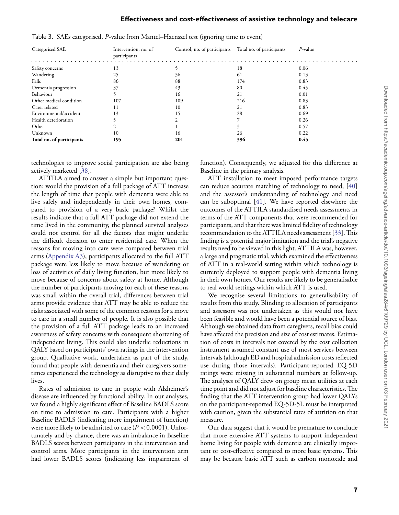| Categorised SAE           | Intervention, no. of<br>participants | Control, no. of participants | Total no. of participants | $P$ -value |
|---------------------------|--------------------------------------|------------------------------|---------------------------|------------|
| Safety concerns           | 13                                   |                              | 18                        | 0.06       |
| Wandering                 | 25                                   | 36                           | 61                        | 0.13       |
| Falls                     | 86                                   | 88                           | 174                       | 0.83       |
| Dementia progression      | 37                                   | 43                           | 80                        | 0.45       |
| Behaviour                 |                                      | 16                           | 21                        | 0.01       |
| Other medical condition   | 107                                  | 109                          | 216                       | 0.83       |
| Carer related             | 11                                   | 10                           | 21                        | 0.83       |
| Environmental/accident    | 13                                   | 15                           | 28                        | 0.69       |
| Health deterioration      |                                      |                              |                           | 0.26       |
| Other                     |                                      |                              |                           | 0.57       |
| Unknown                   | 10                                   | 16                           | 26                        | 0.22       |
| Total no. of participants | 195                                  | 201                          | 396                       | 0.45       |

<span id="page-6-0"></span>

| Table 3. SAEs categorised, P-value from Mantel-Haenszel test (ignoring time to event) |
|---------------------------------------------------------------------------------------|
|---------------------------------------------------------------------------------------|

technologies to improve social participation are also being actively marketed [\[38\]](#page-8-16).

ATTILA aimed to answer a simple but important question: would the provision of a full package of ATT increase the length of time that people with dementia were able to live safely and independently in their own homes, compared to provision of a very basic package? Whilst the results indicate that a full ATT package did not extend the time lived in the community, the planned survival analyses could not control for all the factors that might underlie the difficult decision to enter residential care. When the reasons for moving into care were compared between trial arms [\(Appendix A3\)](https://academic.oup.com/ageing/article-lookup/doi/10.1093/ageing/afaa284#supplementary-data), participants allocated to the full ATT package were less likely to move because of wandering or loss of activities of daily living function, but more likely to move because of concerns about safety at home. Although the number of participants moving for each of these reasons was small within the overall trial, differences between trial arms provide evidence that ATT may be able to reduce the risks associated with some of the common reasons for a move to care in a small number of people. It is also possible that the provision of a full ATT package leads to an increased awareness of safety concerns with consequent shortening of independent living. This could also underlie reductions in QALY based on participants' own ratings in the intervention group. Qualitative work, undertaken as part of the study, found that people with dementia and their caregivers sometimes experienced the technology as disruptive to their daily lives.

Rates of admission to care in people with Alzheimer's disease are influenced by functional ability. In our analyses, we found a highly significant effect of Baseline BADLS score on time to admission to care. Participants with a higher Baseline BADLS (indicating more impairment of function) were more likely to be admitted to care  $(P < 0.0001)$ . Unfortunately and by chance, there was an imbalance in Baseline BADLS scores between participants in the intervention and control arms. More participants in the intervention arm had lower BADLS scores (indicating less impairment of function). Consequently, we adjusted for this difference at Baseline in the primary analysis.

ATT installation to meet imposed performance targets can reduce accurate matching of technology to need, [\[40\]](#page-8-18) and the assessor's understanding of technology and need can be suboptimal [\[41\]](#page-8-19). We have reported elsewhere the outcomes of the ATTILA standardised needs assessments in terms of the ATT components that were recommended for participants, and that there was limited fidelity of technology recommendation to the ATTILA needs assessment [\[33\]](#page-8-11).This finding is a potential major limitation and the trial's negative results need to be viewed in this light. ATTILA was, however, a large and pragmatic trial, which examined the effectiveness of ATT in a real-world setting within which technology is currently deployed to support people with dementia living in their own homes. Our results are likely to be generalisable to real world settings within which ATT is used.

We recognise several limitations to generalisability of results from this study. Blinding to allocation of participants and assessors was not undertaken as this would not have been feasible and would have been a potential source of bias. Although we obtained data from caregivers, recall bias could have affected the precision and size of cost estimates. Estimation of costs in intervals not covered by the cost collection instrument assumed constant use of most services between intervals (although ED and hospital admission costs reflected use during those intervals). Participant-reported EQ-5D ratings were missing in substantial numbers at follow-up. The analyses of QALY drew on group mean utilities at each time point and did not adjust for baseline characteristics. The finding that the ATT intervention group had lower QALYs on the participant-reported EQ-5D-5L must be interpreted with caution, given the substantial rates of attrition on that measure.

Our data suggest that it would be premature to conclude that more extensive ATT systems to support independent home living for people with dementia are clinically important or cost-effective compared to more basic systems. This may be because basic ATT such as carbon monoxide and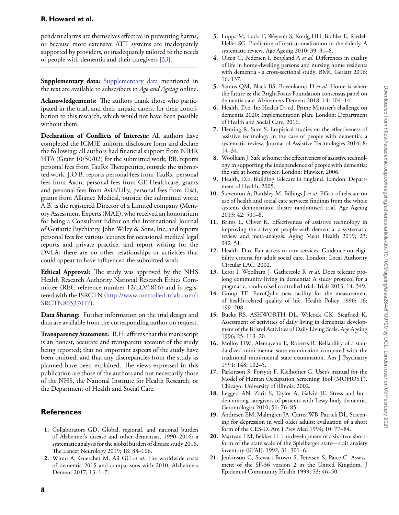pendant alarms are themselves effective in preventing harms, or because more extensive ATT systems are inadequately supported by providers, or inadequately tailored to the needs of people with dementia and their caregivers [\[33\]](#page-8-11).

**Supplementary data:** [Supplementary data](https://academic.oup.com/ageing/article-lookup/doi/10.1093/ageing/afaa284#supplementary-data) mentioned in the text are available to subscribers in *Age and Ageing* online.

**Acknowledgements:** The authors thank those who participated in the trial, and their unpaid carers, for their contribution to this research, which would not have been possible without them.

**Declaration of Conflicts of Interests:** All authors have completed the ICMJE uniform disclosure form and declare the following: all authors had financial support from NIHR HTA (Grant 10/50/02) for the submitted work; P.B. reports personal fees from TauRx Therapeutics, outside the submitted work. J.O'B. reports personal fees from TauRx, personal fees from Axon, personal fees from GE Healthcare, grants and personal fees from Avid/Lilly, personal fees from Eisai, grants from Alliance Medical, outside the submitted work; A.B. is the registered Director of a Limited company (Memory Assessment Experts (MAE), who received an honorarium for being a Consultant Editor on the International Journal of Geriatric Psychiatry, John Wiley & Sons, Inc, and reports personal fees for various lectures for occasional medical legal reports and private practice, and report writing for the DVLA; there are no other relationships or activities that could appear to have influenced the submitted work.

**Ethical Approval:** The study was approved by the NHS Health Research Authority National Research Ethics Committee (REC reference number 12/LO/1816) and is registered with the ISRCTN [\(http://www.controlled-trials.com/I](http://www.controlled-trials.com/ISRCTN86537017) [SRCTN86537017\)](http://www.controlled-trials.com/ISRCTN86537017).

**Data Sharing:** Further information on the trial design and data are available from the corresponding author on request.

**Transparency Statement:** R.H. affirms that this manuscript is an honest, accurate and transparent account of the study being reported; that no important aspects of the study have been omitted; and that any discrepancies from the study as planned have been explained. The views expressed in this publication are those of the authors and not necessarily those of the NHS, the National Institute for Health Research, or the Department of Health and Social Care.

# **References**

- <span id="page-7-0"></span>**1.** Collaborators GD. Global, regional, and national burden of Alzheimer's disease and other dementias, 1990–2016: a systematic analysis for the global burden of disease study 2016. The Lancet Neurology 2019; 18: 88–106.
- <span id="page-7-1"></span>**2.** Wimo A, Guerchet M, Ali GC *et al.* The worldwide costs of dementia 2015 and comparisons with 2010. Alzheimers Dement 2017; 13: 1–7.
- <span id="page-7-2"></span>**3.** Luppa M, Luck T, Weyerer S, Konig HH, Brahler E, Riedel-Heller SG. Prediction of institutionalization in the elderly. A systematic review. Age Ageing 2010; 39: 31–8.
- <span id="page-7-3"></span>**4.** Olsen C, Pedersen I, Bergland A *et al.* Differences in quality of life in home-dwelling persons and nursing home residents with dementia - a cross-sectional study. BMC Geriatr 2016; 16: 137.
- <span id="page-7-4"></span>**5.** Samus QM, Black BS, Bovenkamp D *et al.* Home is where the future is: the BrightFocus Foundation consensus panel on dementia care. Alzheimers Dement 2018; 14: 104–14.
- <span id="page-7-5"></span>**6.** Health, D.o. In: Health D, ed. Prime Minister's challenge on dementia 2020: Implementation plan. London: Department of Health and Social Care, 2016.
- <span id="page-7-6"></span>**7.** Fleming R, Sum S. Empirical studies on the effectiveness of assistive technology in the care of people with dementia: a systematic review. Journal of Assistive Technologies 2014; 8: 14–34.
- <span id="page-7-7"></span>**8.** Woolham J. Safe at home: the effectiveness of assistive technology in supporting the independence of people with dementia: the safe at home project. London: Hawker, 2006.
- <span id="page-7-8"></span>**9.** Health, D.o. Building Telecare in England. London: Department of Health, 2005.
- <span id="page-7-9"></span>**10.** Steventon A, Bardsley M, Billings J *et al.* Effect of telecare on use of health and social care services: findings from the whole systems demonstrator cluster randomised trial. Age Ageing 2013; 42: 501–8.
- <span id="page-7-10"></span>**11.** Brims L, Oliver K. Effectiveness of assistive technology in improving the safety of people with dementia: a systematic review and meta-analysis. Aging Ment Health 2019; 23: 942–51.
- <span id="page-7-11"></span>**12.** Health, D.o. Fair access to care services: Guidance on eligibility criteria for adult social care, London: Local Authority Circular LAC, 2002.
- <span id="page-7-12"></span>**13.** Leroi I, Woolham J, Gathercole R *et al.* Does telecare prolong community living in dementia? A study protocol for a pragmatic, randomised controlled trial. Trials 2013; 14: 349.
- <span id="page-7-13"></span>**14.** Group TE. EuroQol-a new facility for the measurement of health-related quality of life. Health Policy 1990; 16: 199–208.
- <span id="page-7-14"></span>**15.** Bucks RS, ASHWORTH DL, Wilcock GK, Siegfried K. Assessment of activities of daily living in dementia: development of the Bristol Activities of Daily Living Scale. Age Ageing 1996; 25: 113–20.
- <span id="page-7-15"></span>**16.** Molloy DW, Alemayehu E, Roberts R. Reliability of a standardized mini-mental state examination compared with the traditional mini-mental state examination. Am J Psychiatry 1991; 148: 102–5.
- <span id="page-7-16"></span>**17.** Parkinson S, Forsyth F, Kielhofner G. User's manual for the Model of Human Occupation Screening Tool (MOHOST). Chicago: University of Illinois, 2002.
- <span id="page-7-17"></span>**18.** Leggett AN, Zarit S, Taylor A, Galvin JE. Stress and burden among caregivers of patients with Lewy body dementia. Gerontologist 2010; 51: 76–85.
- <span id="page-7-18"></span>**19.** Andresen EM, Malmgren JA, Carter WB, Patrick DL. Screening for depression in well older adults: evaluation of a short form of the CES-D. Am J Prev Med 1994; 10: 77–84.
- <span id="page-7-19"></span>**20.** Marteau TM, Bekker H. The development of a six-item shortform of the state scale of the Spielberger state—trait anxiety inventory (STAI). 1992; 31: 301–6.
- <span id="page-7-20"></span>**21.** Jenkinson C, Stewart-Brown S, Petersen S, Paice C. Assessment of the SF-36 version 2 in the United Kingdom. J Epidemiol Community Health 1999; 53: 46–50.